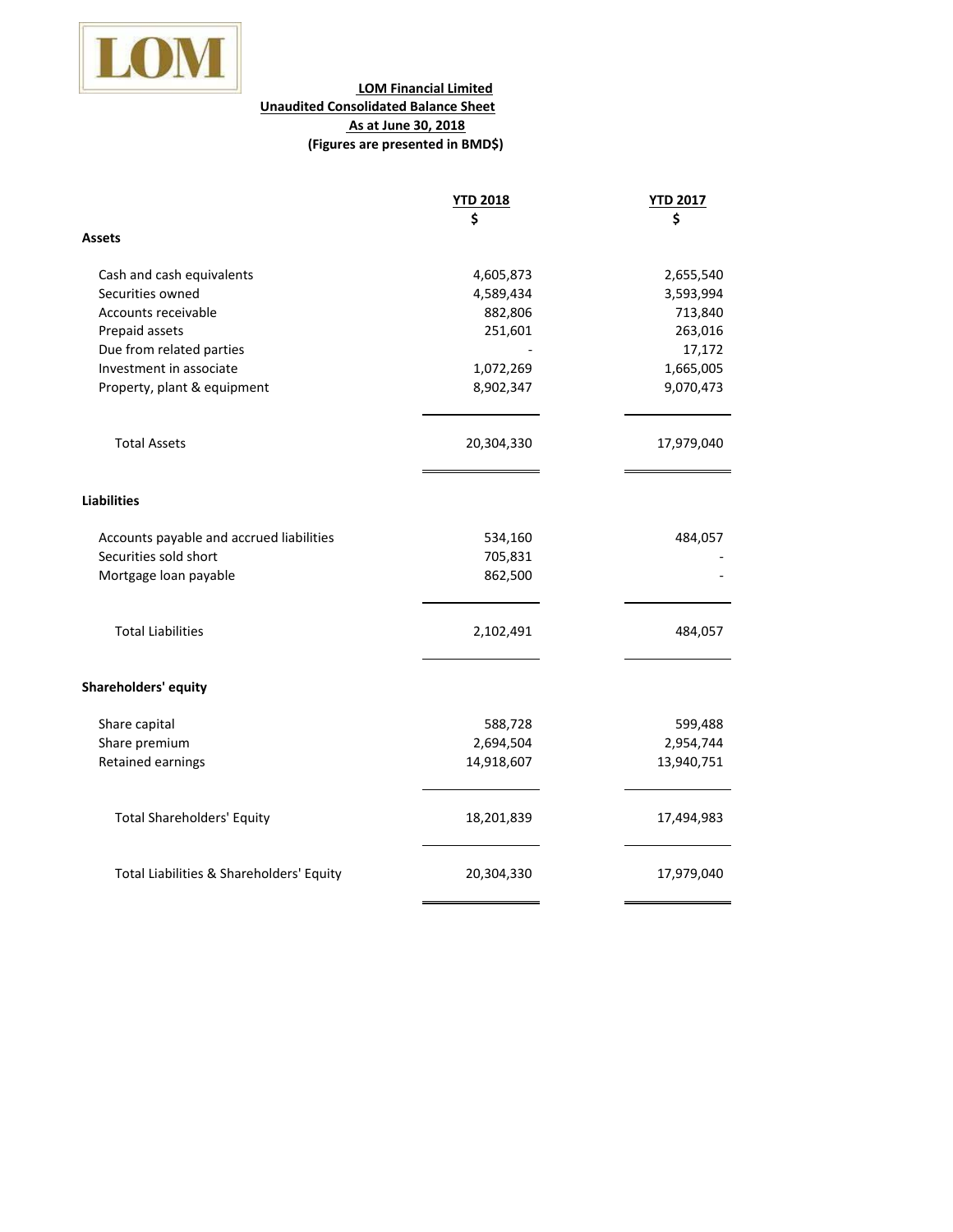

## **LOM Financial Limited Unaudited Consolidated Balance Sheet As at June 30, 2018 (Figures are presented in BMD\$)**

| <b>YTD 2018</b>                          |            | <b>YTD 2017</b> |
|------------------------------------------|------------|-----------------|
|                                          | Ś          | \$              |
| Assets                                   |            |                 |
| Cash and cash equivalents                | 4,605,873  | 2,655,540       |
| Securities owned                         | 4,589,434  | 3,593,994       |
| Accounts receivable                      | 882,806    | 713,840         |
| Prepaid assets                           | 251,601    | 263,016         |
| Due from related parties                 |            | 17,172          |
| Investment in associate                  | 1,072,269  | 1,665,005       |
| Property, plant & equipment              | 8,902,347  | 9,070,473       |
| <b>Total Assets</b>                      | 20,304,330 | 17,979,040      |
| <b>Liabilities</b>                       |            |                 |
| Accounts payable and accrued liabilities | 534,160    | 484,057         |
| Securities sold short                    | 705,831    |                 |
| Mortgage loan payable                    | 862,500    |                 |
| <b>Total Liabilities</b>                 | 2,102,491  | 484,057         |
| <b>Shareholders' equity</b>              |            |                 |
|                                          |            |                 |
| Share capital                            | 588,728    | 599,488         |
| Share premium                            | 2,694,504  | 2,954,744       |
| Retained earnings                        | 14,918,607 | 13,940,751      |
| <b>Total Shareholders' Equity</b>        | 18,201,839 | 17,494,983      |
| Total Liabilities & Shareholders' Equity | 20,304,330 | 17,979,040      |